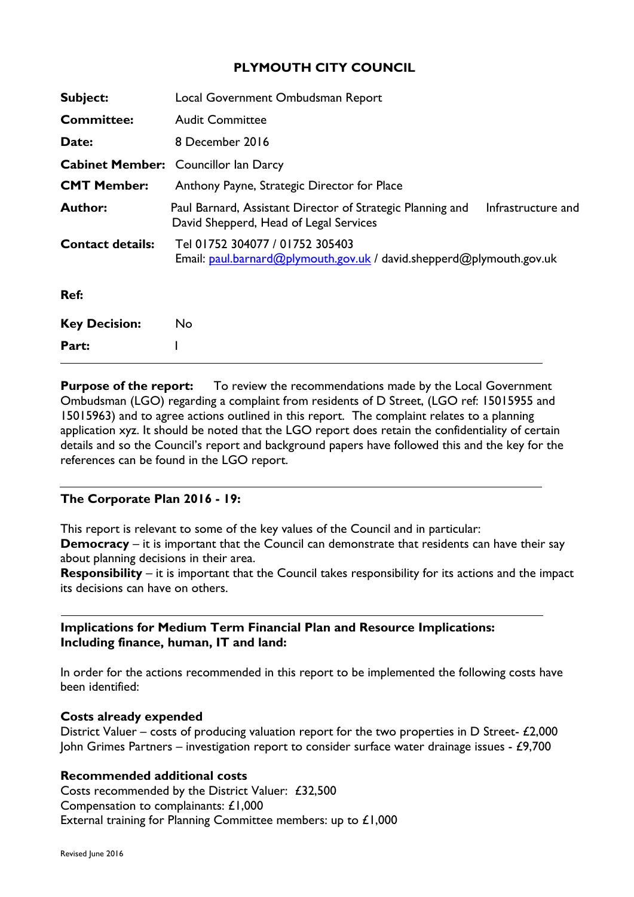# **PLYMOUTH CITY COUNCIL**

| Subject:                | Local Government Ombudsman Report                                                                                          |
|-------------------------|----------------------------------------------------------------------------------------------------------------------------|
| <b>Committee:</b>       | <b>Audit Committee</b>                                                                                                     |
| Date:                   | 8 December 2016                                                                                                            |
|                         | <b>Cabinet Member:</b> Councillor lan Darcy                                                                                |
| <b>CMT Member:</b>      | Anthony Payne, Strategic Director for Place                                                                                |
| <b>Author:</b>          | Infrastructure and<br>Paul Barnard, Assistant Director of Strategic Planning and<br>David Shepperd, Head of Legal Services |
| <b>Contact details:</b> | Tel 01752 304077 / 01752 305403<br>Email: paul.barnard@plymouth.gov.uk / david.shepperd@plymouth.gov.uk                    |
| Ref:                    |                                                                                                                            |
| <b>Key Decision:</b>    | No.                                                                                                                        |
| Part:                   |                                                                                                                            |

**Purpose of the report:** To review the recommendations made by the Local Government Ombudsman (LGO) regarding a complaint from residents of D Street, (LGO ref: 15015955 and 15015963) and to agree actions outlined in this report. The complaint relates to a planning application xyz. It should be noted that the LGO report does retain the confidentiality of certain details and so the Council's report and background papers have followed this and the key for the references can be found in the LGO report.

#### **The Corporate Plan 2016 - 19:**

This report is relevant to some of the key values of the Council and in particular:

**Democracy** – it is important that the Council can demonstrate that residents can have their say about planning decisions in their area.

**Responsibility** – it is important that the Council takes responsibility for its actions and the impact its decisions can have on others.

#### **Implications for Medium Term Financial Plan and Resource Implications: Including finance, human, IT and land:**

In order for the actions recommended in this report to be implemented the following costs have been identified:

#### **Costs already expended**

District Valuer – costs of producing valuation report for the two properties in D Street-  $£2,000$ John Grimes Partners – investigation report to consider surface water drainage issues - £9,700

# **Recommended additional costs**

Costs recommended by the District Valuer: £32,500 Compensation to complainants: £1,000 External training for Planning Committee members: up to £1,000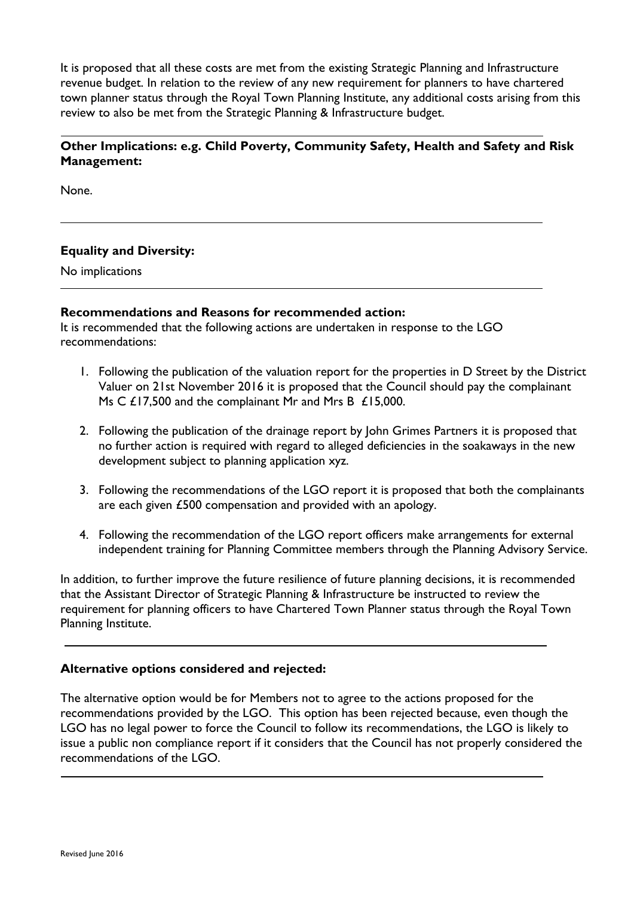It is proposed that all these costs are met from the existing Strategic Planning and Infrastructure revenue budget. In relation to the review of any new requirement for planners to have chartered town planner status through the Royal Town Planning Institute, any additional costs arising from this review to also be met from the Strategic Planning & Infrastructure budget.

# **Other Implications: e.g. Child Poverty, Community Safety, Health and Safety and Risk Management:**

None.

# **Equality and Diversity:**

No implications

#### **Recommendations and Reasons for recommended action:**

It is recommended that the following actions are undertaken in response to the LGO recommendations:

- 1. Following the publication of the valuation report for the properties in D Street by the District Valuer on 21st November 2016 it is proposed that the Council should pay the complainant Ms C £17,500 and the complainant Mr and Mrs B £15,000.
- 2. Following the publication of the drainage report by John Grimes Partners it is proposed that no further action is required with regard to alleged deficiencies in the soakaways in the new development subject to planning application xyz.
- 3. Following the recommendations of the LGO report it is proposed that both the complainants are each given £500 compensation and provided with an apology.
- 4. Following the recommendation of the LGO report officers make arrangements for external independent training for Planning Committee members through the Planning Advisory Service.

In addition, to further improve the future resilience of future planning decisions, it is recommended that the Assistant Director of Strategic Planning & Infrastructure be instructed to review the requirement for planning officers to have Chartered Town Planner status through the Royal Town Planning Institute.

#### **Alternative options considered and rejected:**

The alternative option would be for Members not to agree to the actions proposed for the recommendations provided by the LGO. This option has been rejected because, even though the LGO has no legal power to force the Council to follow its recommendations, the LGO is likely to issue a public non compliance report if it considers that the Council has not properly considered the recommendations of the LGO.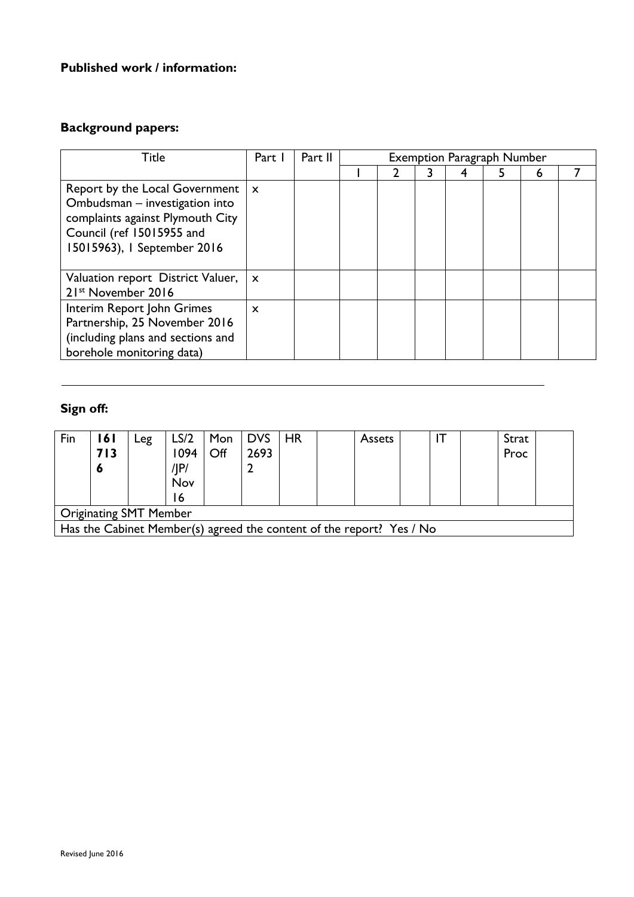# **Published work / information:**

# **Background papers:**

| Title                                                                                                                                                            | Part 1<br>Part II<br><b>Exemption Paragraph Number</b> |  |  |  |  |  |  |   |  |
|------------------------------------------------------------------------------------------------------------------------------------------------------------------|--------------------------------------------------------|--|--|--|--|--|--|---|--|
|                                                                                                                                                                  |                                                        |  |  |  |  |  |  | 6 |  |
| Report by the Local Government<br>Ombudsman - investigation into<br>complaints against Plymouth City<br>Council (ref 15015955 and<br>15015963), I September 2016 | $\mathbf{x}$                                           |  |  |  |  |  |  |   |  |
| Valuation report District Valuer,<br>21st November 2016                                                                                                          | $\mathsf{x}$                                           |  |  |  |  |  |  |   |  |
| Interim Report John Grimes<br>Partnership, 25 November 2016<br>(including plans and sections and<br>borehole monitoring data)                                    | $\mathbf x$                                            |  |  |  |  |  |  |   |  |

# **Sign off:**

| Fin                                                                  | 161 | Leg | LS/2 |     | Mon DVS   HR |  |  | <b>Assets</b> |  |  | Strat |  |
|----------------------------------------------------------------------|-----|-----|------|-----|--------------|--|--|---------------|--|--|-------|--|
|                                                                      | 713 |     | 1094 | Off | 2693         |  |  |               |  |  | Proc  |  |
|                                                                      | O   |     | /IP/ |     |              |  |  |               |  |  |       |  |
|                                                                      |     |     | Nov  |     |              |  |  |               |  |  |       |  |
|                                                                      |     |     |      |     |              |  |  |               |  |  |       |  |
| <b>Originating SMT Member</b>                                        |     |     |      |     |              |  |  |               |  |  |       |  |
| Has the Cabinet Member(s) agreed the content of the report? Yes / No |     |     |      |     |              |  |  |               |  |  |       |  |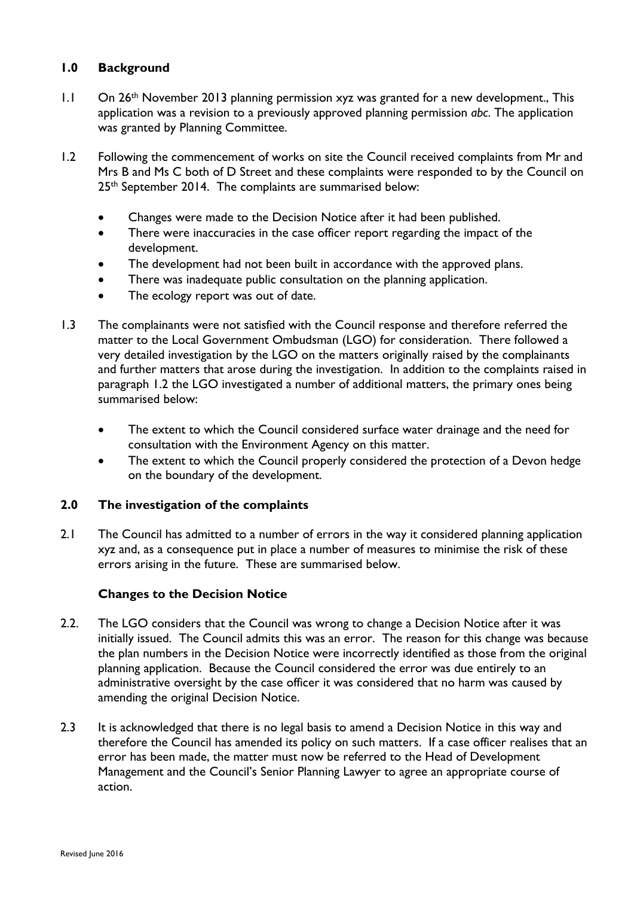# **1.0 Background**

- 1.1 On 26<sup>th</sup> November 2013 planning permission xyz was granted for a new development., This application was a revision to a previously approved planning permission *abc*. The application was granted by Planning Committee.
- 1.2 Following the commencement of works on site the Council received complaints from Mr and Mrs B and Ms C both of D Street and these complaints were responded to by the Council on 25<sup>th</sup> September 2014. The complaints are summarised below:
	- Changes were made to the Decision Notice after it had been published.
	- There were inaccuracies in the case officer report regarding the impact of the development.
	- The development had not been built in accordance with the approved plans.
	- There was inadequate public consultation on the planning application.
	- The ecology report was out of date.
- 1.3 The complainants were not satisfied with the Council response and therefore referred the matter to the Local Government Ombudsman (LGO) for consideration. There followed a very detailed investigation by the LGO on the matters originally raised by the complainants and further matters that arose during the investigation. In addition to the complaints raised in paragraph 1.2 the LGO investigated a number of additional matters, the primary ones being summarised below:
	- The extent to which the Council considered surface water drainage and the need for consultation with the Environment Agency on this matter.
	- The extent to which the Council properly considered the protection of a Devon hedge on the boundary of the development.

#### **2.0 The investigation of the complaints**

2.1 The Council has admitted to a number of errors in the way it considered planning application xyz and, as a consequence put in place a number of measures to minimise the risk of these errors arising in the future. These are summarised below.

#### **Changes to the Decision Notice**

- 2.2. The LGO considers that the Council was wrong to change a Decision Notice after it was initially issued. The Council admits this was an error. The reason for this change was because the plan numbers in the Decision Notice were incorrectly identified as those from the original planning application. Because the Council considered the error was due entirely to an administrative oversight by the case officer it was considered that no harm was caused by amending the original Decision Notice.
- 2.3 It is acknowledged that there is no legal basis to amend a Decision Notice in this way and therefore the Council has amended its policy on such matters. If a case officer realises that an error has been made, the matter must now be referred to the Head of Development Management and the Council's Senior Planning Lawyer to agree an appropriate course of action.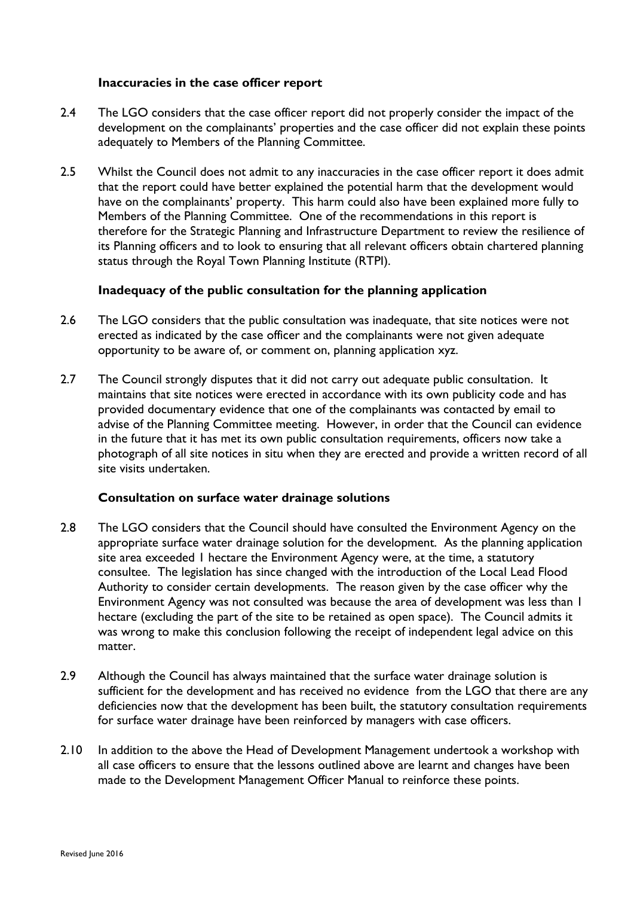#### **Inaccuracies in the case officer report**

- 2.4 The LGO considers that the case officer report did not properly consider the impact of the development on the complainants' properties and the case officer did not explain these points adequately to Members of the Planning Committee.
- 2.5 Whilst the Council does not admit to any inaccuracies in the case officer report it does admit that the report could have better explained the potential harm that the development would have on the complainants' property. This harm could also have been explained more fully to Members of the Planning Committee. One of the recommendations in this report is therefore for the Strategic Planning and Infrastructure Department to review the resilience of its Planning officers and to look to ensuring that all relevant officers obtain chartered planning status through the Royal Town Planning Institute (RTPI).

#### **Inadequacy of the public consultation for the planning application**

- 2.6 The LGO considers that the public consultation was inadequate, that site notices were not erected as indicated by the case officer and the complainants were not given adequate opportunity to be aware of, or comment on, planning application xyz.
- 2.7 The Council strongly disputes that it did not carry out adequate public consultation. It maintains that site notices were erected in accordance with its own publicity code and has provided documentary evidence that one of the complainants was contacted by email to advise of the Planning Committee meeting. However, in order that the Council can evidence in the future that it has met its own public consultation requirements, officers now take a photograph of all site notices in situ when they are erected and provide a written record of all site visits undertaken.

#### **Consultation on surface water drainage solutions**

- 2.8 The LGO considers that the Council should have consulted the Environment Agency on the appropriate surface water drainage solution for the development. As the planning application site area exceeded 1 hectare the Environment Agency were, at the time, a statutory consultee. The legislation has since changed with the introduction of the Local Lead Flood Authority to consider certain developments. The reason given by the case officer why the Environment Agency was not consulted was because the area of development was less than 1 hectare (excluding the part of the site to be retained as open space). The Council admits it was wrong to make this conclusion following the receipt of independent legal advice on this matter.
- 2.9 Although the Council has always maintained that the surface water drainage solution is sufficient for the development and has received no evidence from the LGO that there are any deficiencies now that the development has been built, the statutory consultation requirements for surface water drainage have been reinforced by managers with case officers.
- 2.10 In addition to the above the Head of Development Management undertook a workshop with all case officers to ensure that the lessons outlined above are learnt and changes have been made to the Development Management Officer Manual to reinforce these points.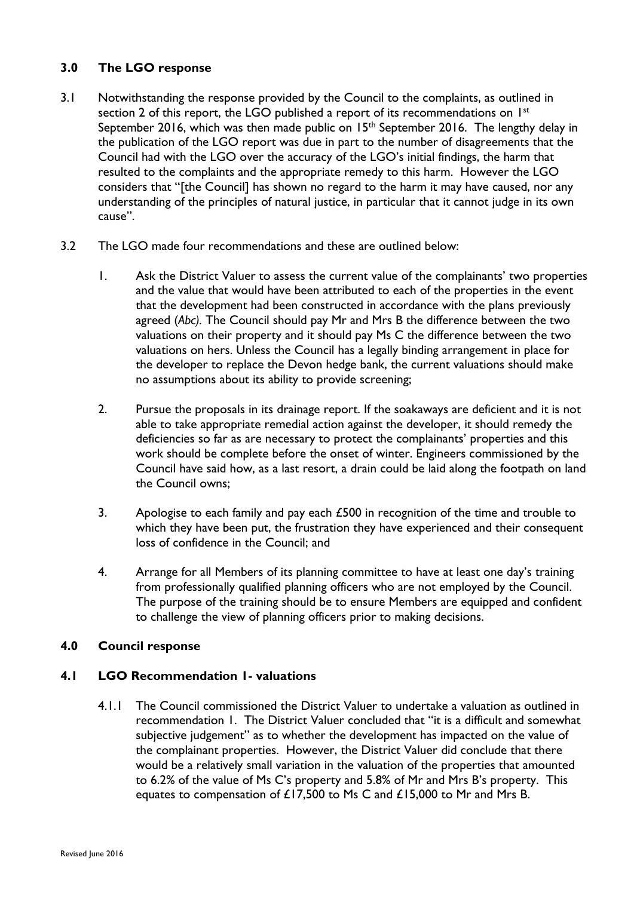# **3.0 The LGO response**

- 3.1 Notwithstanding the response provided by the Council to the complaints, as outlined in section 2 of this report, the LGO published a report of its recommendations on 1<sup>st</sup> September 2016, which was then made public on  $15<sup>th</sup>$  September 2016. The lengthy delay in the publication of the LGO report was due in part to the number of disagreements that the Council had with the LGO over the accuracy of the LGO's initial findings, the harm that resulted to the complaints and the appropriate remedy to this harm. However the LGO considers that "[the Council] has shown no regard to the harm it may have caused, nor any understanding of the principles of natural justice, in particular that it cannot judge in its own cause".
- 3.2 The LGO made four recommendations and these are outlined below:
	- 1. Ask the District Valuer to assess the current value of the complainants' two properties and the value that would have been attributed to each of the properties in the event that the development had been constructed in accordance with the plans previously agreed (*Abc).* The Council should pay Mr and Mrs B the difference between the two valuations on their property and it should pay Ms C the difference between the two valuations on hers. Unless the Council has a legally binding arrangement in place for the developer to replace the Devon hedge bank, the current valuations should make no assumptions about its ability to provide screening;
	- 2. Pursue the proposals in its drainage report. If the soakaways are deficient and it is not able to take appropriate remedial action against the developer, it should remedy the deficiencies so far as are necessary to protect the complainants' properties and this work should be complete before the onset of winter. Engineers commissioned by the Council have said how, as a last resort, a drain could be laid along the footpath on land the Council owns;
	- 3. Apologise to each family and pay each £500 in recognition of the time and trouble to which they have been put, the frustration they have experienced and their consequent loss of confidence in the Council; and
	- 4. Arrange for all Members of its planning committee to have at least one day's training from professionally qualified planning officers who are not employed by the Council. The purpose of the training should be to ensure Members are equipped and confident to challenge the view of planning officers prior to making decisions.

# **4.0 Council response**

# **4.1 LGO Recommendation 1- valuations**

4.1.1 The Council commissioned the District Valuer to undertake a valuation as outlined in recommendation 1. The District Valuer concluded that "it is a difficult and somewhat subjective judgement" as to whether the development has impacted on the value of the complainant properties. However, the District Valuer did conclude that there would be a relatively small variation in the valuation of the properties that amounted to 6.2% of the value of Ms C's property and 5.8% of Mr and Mrs B's property. This equates to compensation of £17,500 to Ms C and £15,000 to Mr and Mrs B.